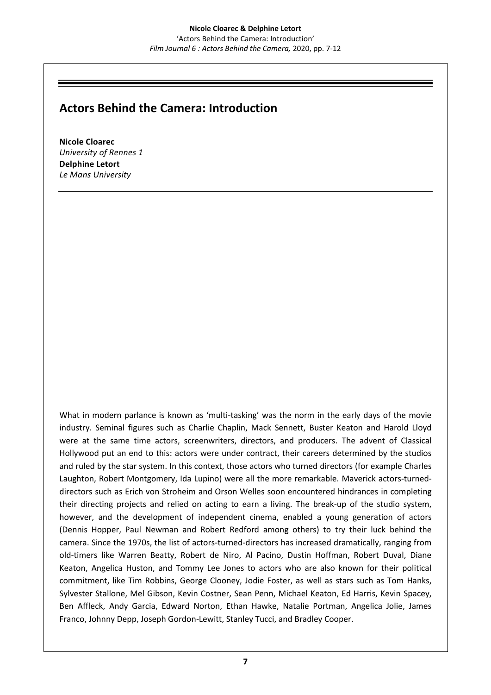## **Actors Behind the Camera: Introduction**

**Nicole Cloarec** *University of Rennes 1* **Delphine Letort** *Le Mans University*

What in modern parlance is known as 'multi-tasking' was the norm in the early days of the movie industry. Seminal figures such as Charlie Chaplin, Mack Sennett, Buster Keaton and Harold Lloyd were at the same time actors, screenwriters, directors, and producers. The advent of Classical Hollywood put an end to this: actors were under contract, their careers determined by the studios and ruled by the star system. In this context, those actors who turned directors (for example Charles Laughton, Robert Montgomery, Ida Lupino) were all the more remarkable. Maverick actors-turneddirectors such as Erich von Stroheim and Orson Welles soon encountered hindrances in completing their directing projects and relied on acting to earn a living. The break-up of the studio system, however, and the development of independent cinema, enabled a young generation of actors (Dennis Hopper, Paul Newman and Robert Redford among others) to try their luck behind the camera. Since the 1970s, the list of actors-turned-directors has increased dramatically, ranging from old-timers like Warren Beatty, Robert de Niro, Al Pacino, Dustin Hoffman, Robert Duval, Diane Keaton, Angelica Huston, and Tommy Lee Jones to actors who are also known for their political commitment, like Tim Robbins, George Clooney, Jodie Foster, as well as stars such as Tom Hanks, Sylvester Stallone, Mel Gibson, Kevin Costner, Sean Penn, Michael Keaton, Ed Harris, Kevin Spacey, Ben Affleck, Andy Garcia, Edward Norton, Ethan Hawke, Natalie Portman, Angelica Jolie, James Franco, Johnny Depp, Joseph Gordon-Lewitt, Stanley Tucci, and Bradley Cooper.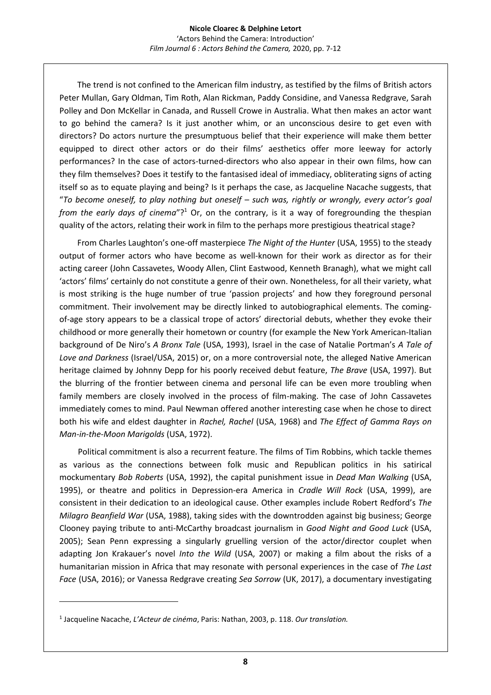The trend is not confined to the American film industry, as testified by the films of British actors Peter Mullan, Gary Oldman, Tim Roth, Alan Rickman, Paddy Considine, and Vanessa Redgrave, Sarah Polley and Don McKellar in Canada, and Russell Crowe in Australia. What then makes an actor want to go behind the camera? Is it just another whim, or an unconscious desire to get even with directors? Do actors nurture the presumptuous belief that their experience will make them better equipped to direct other actors or do their films' aesthetics offer more leeway for actorly performances? In the case of actors-turned-directors who also appear in their own films, how can they film themselves? Does it testify to the fantasised ideal of immediacy, obliterating signs of acting itself so as to equate playing and being? Is it perhaps the case, as Jacqueline Nacache suggests, that "*To become oneself, to play nothing but oneself – such was, rightly or wrongly, every actor's goal*  from the early days of cinema"?<sup>1</sup> Or, on the contrary, is it a way of foregrounding the thespian quality of the actors, relating their work in film to the perhaps more prestigious theatrical stage?

 From Charles Laughton's one-off masterpiece *The Night of the Hunter* (USA, 1955) to the steady output of former actors who have become as well-known for their work as director as for their acting career (John Cassavetes, Woody Allen, Clint Eastwood, Kenneth Branagh), what we might call 'actors' films' certainly do not constitute a genre of their own. Nonetheless, for all their variety, what is most striking is the huge number of true 'passion projects' and how they foreground personal commitment. Their involvement may be directly linked to autobiographical elements. The comingof-age story appears to be a classical trope of actors' directorial debuts, whether they evoke their childhood or more generally their hometown or country (for example the New York American-Italian background of De Niro's *A Bronx Tale* (USA, 1993), Israel in the case of Natalie Portman's *A Tale of Love and Darkness* (Israel/USA, 2015) or, on a more controversial note, the alleged Native American heritage claimed by Johnny Depp for his poorly received debut feature, *The Brave* (USA, 1997). But the blurring of the frontier between cinema and personal life can be even more troubling when family members are closely involved in the process of film-making. The case of John Cassavetes immediately comes to mind. Paul Newman offered another interesting case when he chose to direct both his wife and eldest daughter in *Rachel, Rachel* (USA, 1968) and *The Effect of Gamma Rays on Man-in-the-Moon Marigolds* (USA, 1972).

 Political commitment is also a recurrent feature. The films of Tim Robbins, which tackle themes as various as the connections between folk music and Republican politics in his satirical mockumentary *Bob Roberts* (USA, 1992), the capital punishment issue in *Dead Man Walking* (USA, 1995), or theatre and politics in Depression-era America in *Cradle Will Rock* (USA, 1999), are consistent in their dedication to an ideological cause. Other examples include Robert Redford's *The Milagro Beanfield War* (USA, 1988), taking sides with the downtrodden against big business; George Clooney paying tribute to anti-McCarthy broadcast journalism in *Good Night and Good Luck* (USA, 2005); Sean Penn expressing a singularly gruelling version of the actor/director couplet when adapting Jon Krakauer's novel *Into the Wild* (USA, 2007) or making a film about the risks of a humanitarian mission in Africa that may resonate with personal experiences in the case of *The Last Face* (USA, 2016); or Vanessa Redgrave creating *Sea Sorrow* (UK, 2017), a documentary investigating

<sup>1</sup> Jacqueline Nacache, *L'Acteur de cinéma*, Paris: Nathan, 2003, p. 118. *Our translation.*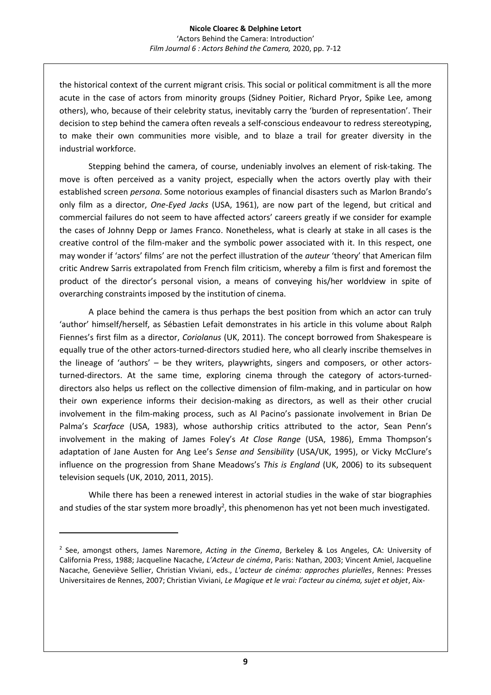the historical context of the current migrant crisis. This social or political commitment is all the more acute in the case of actors from minority groups (Sidney Poitier, Richard Pryor, Spike Lee, among others), who, because of their celebrity status, inevitably carry the 'burden of representation'. Their decision to step behind the camera often reveals a self-conscious endeavour to redress stereotyping, to make their own communities more visible, and to blaze a trail for greater diversity in the industrial workforce.

Stepping behind the camera, of course, undeniably involves an element of risk-taking. The move is often perceived as a vanity project, especially when the actors overtly play with their established screen *persona*. Some notorious examples of financial disasters such as Marlon Brando's only film as a director, *One-Eyed Jacks* (USA, 1961), are now part of the legend, but critical and commercial failures do not seem to have affected actors' careers greatly if we consider for example the cases of Johnny Depp or James Franco. Nonetheless, what is clearly at stake in all cases is the creative control of the film-maker and the symbolic power associated with it. In this respect, one may wonder if 'actors' films' are not the perfect illustration of the *auteur* 'theory' that American film critic Andrew Sarris extrapolated from French film criticism, whereby a film is first and foremost the product of the director's personal vision, a means of conveying his/her worldview in spite of overarching constraints imposed by the institution of cinema.

A place behind the camera is thus perhaps the best position from which an actor can truly 'author' himself/herself, as Sébastien Lefait demonstrates in his article in this volume about Ralph Fiennes's first film as a director, *Coriolanus* (UK, 2011). The concept borrowed from Shakespeare is equally true of the other actors-turned-directors studied here, who all clearly inscribe themselves in the lineage of 'authors' – be they writers, playwrights, singers and composers, or other actorsturned-directors. At the same time, exploring cinema through the category of actors-turneddirectors also helps us reflect on the collective dimension of film-making, and in particular on how their own experience informs their decision-making as directors, as well as their other crucial involvement in the film-making process, such as Al Pacino's passionate involvement in Brian De Palma's *Scarface* (USA, 1983), whose authorship critics attributed to the actor, Sean Penn's involvement in the making of James Foley's *At Close Range* (USA, 1986), Emma Thompson's adaptation of Jane Austen for Ang Lee's *Sense and Sensibility* (USA/UK, 1995), or Vicky McClure's influence on the progression from Shane Meadows's *This is England* (UK, 2006) to its subsequent television sequels (UK, 2010, 2011, 2015).

While there has been a renewed interest in actorial studies in the wake of star biographies and studies of the star system more broadly<sup>2</sup>, this phenomenon has yet not been much investigated.

<sup>2</sup> See, amongst others, James Naremore, *Acting in the Cinema*, Berkeley & Los Angeles, CA: University of California Press, 1988; Jacqueline Nacache, *L'Acteur de cinéma*, Paris: Nathan, 2003; Vincent Amiel, Jacqueline Nacache, Geneviève Sellier, Christian Viviani, eds., *L'acteur de cinéma: approches plurielles*, Rennes: Presses Universitaires de Rennes, 2007; Christian Viviani, *Le Magique et le vrai: l'acteur au cinéma, sujet et objet*, Aix-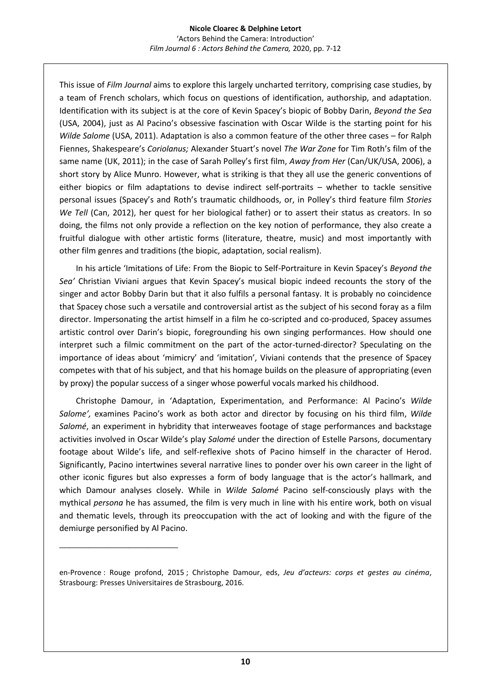This issue of *Film Journal* aims to explore this largely uncharted territory, comprising case studies, by a team of French scholars, which focus on questions of identification, authorship, and adaptation. Identification with its subject is at the core of Kevin Spacey's biopic of Bobby Darin, *Beyond the Sea* (USA, 2004), just as Al Pacino's obsessive fascination with Oscar Wilde is the starting point for his *Wilde Salome* (USA, 2011). Adaptation is also a common feature of the other three cases – for Ralph Fiennes, Shakespeare's *Coriolanus;* Alexander Stuart's novel *The War Zone* for Tim Roth's film of the same name (UK, 2011); in the case of Sarah Polley's first film, *Away from Her* (Can/UK/USA, 2006), a short story by Alice Munro. However, what is striking is that they all use the generic conventions of either biopics or film adaptations to devise indirect self-portraits – whether to tackle sensitive personal issues (Spacey's and Roth's traumatic childhoods, or, in Polley's third feature film *Stories We Tell* (Can, 2012), her quest for her biological father) or to assert their status as creators. In so doing, the films not only provide a reflection on the key notion of performance, they also create a fruitful dialogue with other artistic forms (literature, theatre, music) and most importantly with other film genres and traditions (the biopic, adaptation, social realism).

 In his article 'Imitations of Life: From the Biopic to Self-Portraiture in Kevin Spacey's *Beyond the Sea'* Christian Viviani argues that Kevin Spacey's musical biopic indeed recounts the story of the singer and actor Bobby Darin but that it also fulfils a personal fantasy. It is probably no coincidence that Spacey chose such a versatile and controversial artist as the subject of his second foray as a film director. Impersonating the artist himself in a film he co-scripted and co-produced, Spacey assumes artistic control over Darin's biopic, foregrounding his own singing performances. How should one interpret such a filmic commitment on the part of the actor-turned-director? Speculating on the importance of ideas about 'mimicry' and 'imitation', Viviani contends that the presence of Spacey competes with that of his subject, and that his homage builds on the pleasure of appropriating (even by proxy) the popular success of a singer whose powerful vocals marked his childhood.

 Christophe Damour, in 'Adaptation, Experimentation, and Performance: Al Pacino's *Wilde Salome',* examines Pacino's work as both actor and director by focusing on his third film, *Wilde Salomé*, an experiment in hybridity that interweaves footage of stage performances and backstage activities involved in Oscar Wilde's play *Salomé* under the direction of Estelle Parsons, documentary footage about Wilde's life, and self-reflexive shots of Pacino himself in the character of Herod. Significantly, Pacino intertwines several narrative lines to ponder over his own career in the light of other iconic figures but also expresses a form of body language that is the actor's hallmark, and which Damour analyses closely. While in *Wilde Salomé* Pacino self-consciously plays with the mythical *persona* he has assumed, the film is very much in line with his entire work, both on visual and thematic levels, through its preoccupation with the act of looking and with the figure of the demiurge personified by Al Pacino.

\_\_\_\_\_\_\_\_\_\_\_\_\_\_\_\_\_\_\_\_\_\_\_\_

en-Provence : Rouge profond, 2015 ; Christophe Damour, eds, *Jeu d'acteurs: corps et gestes au cinéma*, Strasbourg: Presses Universitaires de Strasbourg, 2016.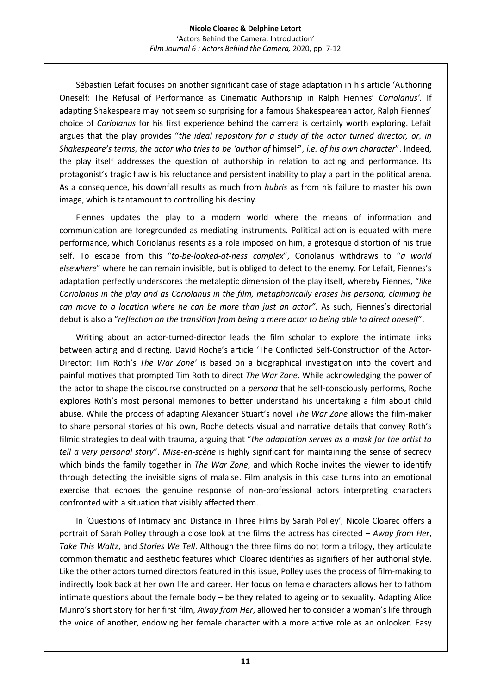Sébastien Lefait focuses on another significant case of stage adaptation in his article 'Authoring Oneself: The Refusal of Performance as Cinematic Authorship in Ralph Fiennes' *Coriolanus'.* If adapting Shakespeare may not seem so surprising for a famous Shakespearean actor, Ralph Fiennes' choice of *Coriolanus* for his first experience behind the camera is certainly worth exploring. Lefait argues that the play provides "*the ideal repository for a study of the actor turned director, or, in Shakespeare's terms, the actor who tries to be 'author of* himself', *i.e. of his own character*". Indeed, the play itself addresses the question of authorship in relation to acting and performance. Its protagonist's tragic flaw is his reluctance and persistent inability to play a part in the political arena. As a consequence, his downfall results as much from *hubris* as from his failure to master his own image, which is tantamount to controlling his destiny.

 Fiennes updates the play to a modern world where the means of information and communication are foregrounded as mediating instruments. Political action is equated with mere performance, which Coriolanus resents as a role imposed on him, a grotesque distortion of his true self. To escape from this "*to-be-looked-at-ness complex*", Coriolanus withdraws to "*a world elsewhere*" where he can remain invisible, but is obliged to defect to the enemy. For Lefait, Fiennes's adaptation perfectly underscores the metaleptic dimension of the play itself, whereby Fiennes, "*like Coriolanus in the play and as Coriolanus in the film, metaphorically erases his persona, claiming he can move to a location where he can be more than just an actor".* As such, Fiennes's directorial debut is also a "*reflection on the transition from being a mere actor to being able to direct oneself*".

 Writing about an actor-turned-director leads the film scholar to explore the intimate links between acting and directing. David Roche's article 'The Conflicted Self-Construction of the Actor-Director: Tim Roth's *The War Zone'* is based on a biographical investigation into the covert and painful motives that prompted Tim Roth to direct *The War Zone*. While acknowledging the power of the actor to shape the discourse constructed on a *persona* that he self-consciously performs, Roche explores Roth's most personal memories to better understand his undertaking a film about child abuse. While the process of adapting Alexander Stuart's novel *The War Zone* allows the film-maker to share personal stories of his own, Roche detects visual and narrative details that convey Roth's filmic strategies to deal with trauma, arguing that "*the adaptation serves as a mask for the artist to tell a very personal story*". *Mise-en-scène* is highly significant for maintaining the sense of secrecy which binds the family together in *The War Zone*, and which Roche invites the viewer to identify through detecting the invisible signs of malaise. Film analysis in this case turns into an emotional exercise that echoes the genuine response of non-professional actors interpreting characters confronted with a situation that visibly affected them.

 In 'Questions of Intimacy and Distance in Three Films by Sarah Polley'*,* Nicole Cloarec offers a portrait of Sarah Polley through a close look at the films the actress has directed – *Away from Her*, *Take This Waltz*, and *Stories We Tell*. Although the three films do not form a trilogy, they articulate common thematic and aesthetic features which Cloarec identifies as signifiers of her authorial style. Like the other actors turned directors featured in this issue, Polley uses the process of film-making to indirectly look back at her own life and career. Her focus on female characters allows her to fathom intimate questions about the female body – be they related to ageing or to sexuality. Adapting Alice Munro's short story for her first film, *Away from Her*, allowed her to consider a woman's life through the voice of another, endowing her female character with a more active role as an onlooker. Easy